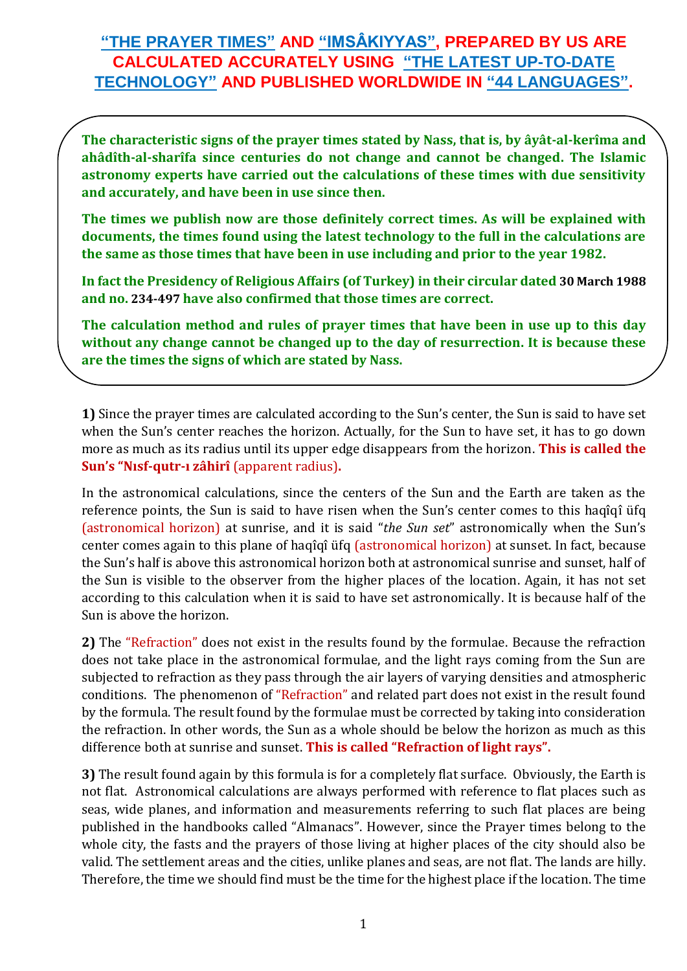## **"THE PRAYER TIMES" AND "IMSÂKIYYAS", PREPARED BY US ARE CALCULATED ACCURATELY USING "THE LATEST UP-TO-DATE TECHNOLOGY" AND PUBLISHED WORLDWIDE IN "44 LANGUAGES".**

**The characteristic signs of the prayer times stated by Nass, that is, by âyât-al-kerîma and ahâdîth-al-sharîfa since centuries do not change and cannot be changed. The Islamic astronomy experts have carried out the calculations of these times with due sensitivity and accurately, and have been in use since then.**

**The times we publish now are those definitely correct times. As will be explained with documents, the times found using the latest technology to the full in the calculations are the same as those times that have been in use including and prior to the year 1982.**

**In fact the Presidency of Religious Affairs (of Turkey) in their circular dated 30 March 1988 and no. 234-497 have also confirmed that those times are correct.**

**The calculation method and rules of prayer times that have been in use up to this day without any change cannot be changed up to the day of resurrection. It is because these are the times the signs of which are stated by Nass.**

**1)** Since the prayer times are calculated according to the Sun's center, the Sun is said to have set when the Sun's center reaches the horizon. Actually, for the Sun to have set, it has to go down more as much as its radius until its upper edge disappears from the horizon. **This is called the Sun's "Nısf-qutr-ı zâhirî** (apparent radius)**.**

In the astronomical calculations, since the centers of the Sun and the Earth are taken as the reference points, the Sun is said to have risen when the Sun's center comes to this haqîqî üfq (astronomical horizon) at sunrise, and it is said "*the Sun set*" astronomically when the Sun's center comes again to this plane of haqîqî üfq (astronomical horizon) at sunset. In fact, because the Sun's half is above this astronomical horizon both at astronomical sunrise and sunset, half of the Sun is visible to the observer from the higher places of the location. Again, it has not set according to this calculation when it is said to have set astronomically. It is because half of the Sun is above the horizon.

**2)** The "Refraction" does not exist in the results found by the formulae. Because the refraction does not take place in the astronomical formulae, and the light rays coming from the Sun are subjected to refraction as they pass through the air layers of varying densities and atmospheric conditions. The phenomenon of "Refraction" and related part does not exist in the result found by the formula. The result found by the formulae must be corrected by taking into consideration the refraction. In other words, the Sun as a whole should be below the horizon as much as this difference both at sunrise and sunset. **This is called "Refraction of light rays".**

**3)** The result found again by this formula is for a completely flat surface. Obviously, the Earth is not flat. Astronomical calculations are always performed with reference to flat places such as seas, wide planes, and information and measurements referring to such flat places are being published in the handbooks called "Almanacs". However, since the Prayer times belong to the whole city, the fasts and the prayers of those living at higher places of the city should also be valid. The settlement areas and the cities, unlike planes and seas, are not flat. The lands are hilly. Therefore, the time we should find must be the time for the highest place if the location. The time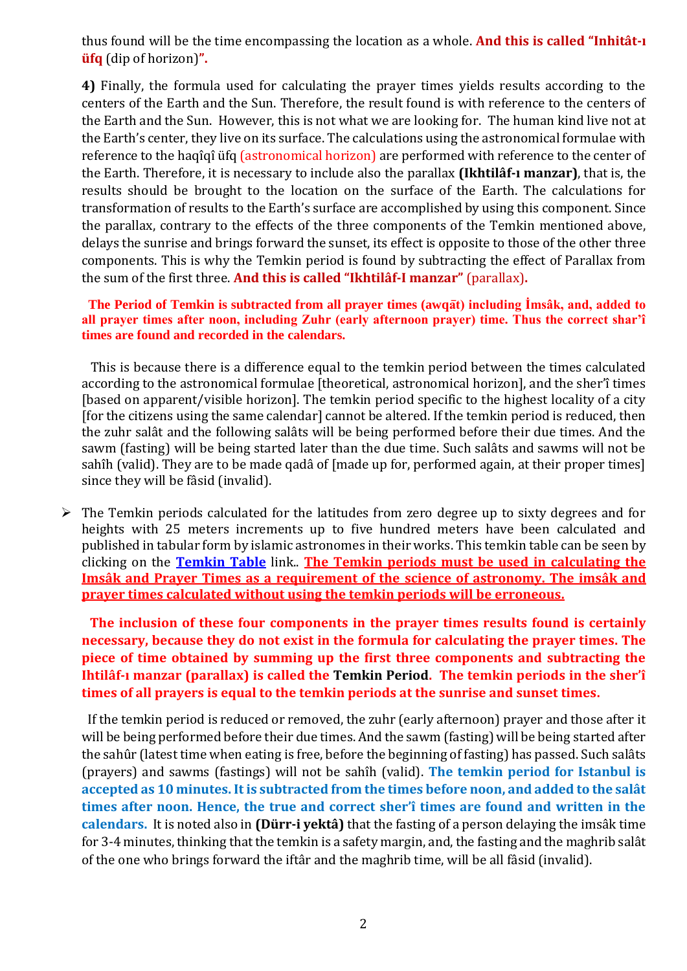thus found will be the time encompassing the location as a whole. **And this is called "Inhitât-ı üfq** (dip of horizon)**".**

**4)** Finally, the formula used for calculating the prayer times yields results according to the centers of the Earth and the Sun. Therefore, the result found is with reference to the centers of the Earth and the Sun. However, this is not what we are looking for. The human kind live not at the Earth's center, they live on its surface. The calculations using the astronomical formulae with reference to the haqîqî üfq (astronomical horizon) are performed with reference to the center of the Earth. Therefore, it is necessary to include also the parallax **(Ikhtilâf-ı manzar)**, that is, the results should be brought to the location on the surface of the Earth. The calculations for transformation of results to the Earth's surface are accomplished by using this component. Since the parallax, contrary to the effects of the three components of the Temkin mentioned above, delays the sunrise and brings forward the sunset, its effect is opposite to those of the other three components. This is why the Temkin period is found by subtracting the effect of Parallax from the sum of the first three. **And this is called "Ikhtilâf-I manzar"** (parallax)**.**

## **The Period of Temkin is subtracted from all prayer times (awqa̅t) including İmsâk, and, added to all prayer times after noon, including Zuhr (early afternoon prayer) time. Thus the correct shar'î times are found and recorded in the calendars.**

 This is because there is a difference equal to the temkin period between the times calculated according to the astronomical formulae [theoretical, astronomical horizon], and the sher'î times [based on apparent/visible horizon]. The temkin period specific to the highest locality of a city [for the citizens using the same calendar] cannot be altered. If the temkin period is reduced, then the zuhr salât and the following salâts will be being performed before their due times. And the sawm (fasting) will be being started later than the due time. Such salâts and sawms will not be sahîh (valid). They are to be made qadâ of [made up for, performed again, at their proper times] since they will be fâsid (invalid).

 $\triangleright$  The Temkin periods calculated for the latitudes from zero degree up to sixty degrees and for heights with 25 meters increments up to five hundred meters have been calculated and published in tabular form by islamic astronomes in their works. This temkin table can be seen by clicking on the **[Temkin](http://www.turktakvim.com/index.php?link=html/temkin_cedveli.html) Table** link.. **The Temkin periods must be used in calculating the Imsâk and Prayer Times as a requirement of the science of astronomy. The imsâk and prayer times calculated without using the temkin periods will be erroneous.**

**The inclusion of these four components in the prayer times results found is certainly necessary, because they do not exist in the formula for calculating the prayer times. The piece of time obtained by summing up the first three components and subtracting the Ihtilâf-ı manzar (parallax) is called the Temkin Period. The temkin periods in the sher'î times of all prayers is equal to the temkin periods at the sunrise and sunset times.**

 If the temkin period is reduced or removed, the zuhr (early afternoon) prayer and those after it will be being performed before their due times. And the sawm (fasting) will be being started after the sahûr (latest time when eating is free, before the beginning of fasting) has passed. Such salâts (prayers) and sawms (fastings) will not be sahîh (valid). **The temkin period for Istanbul is accepted as 10 minutes. It is subtracted from the times before noon, and added to the salât times after noon. Hence, the true and correct sher'î times are found and written in the calendars.** It is noted also in **(Dürr-i yektâ)** that the fasting of a person delaying the imsâk time for 3-4 minutes, thinking that the temkin is a safety margin, and, the fasting and the maghrib salât of the one who brings forward the iftâr and the maghrib time, will be all fâsid (invalid).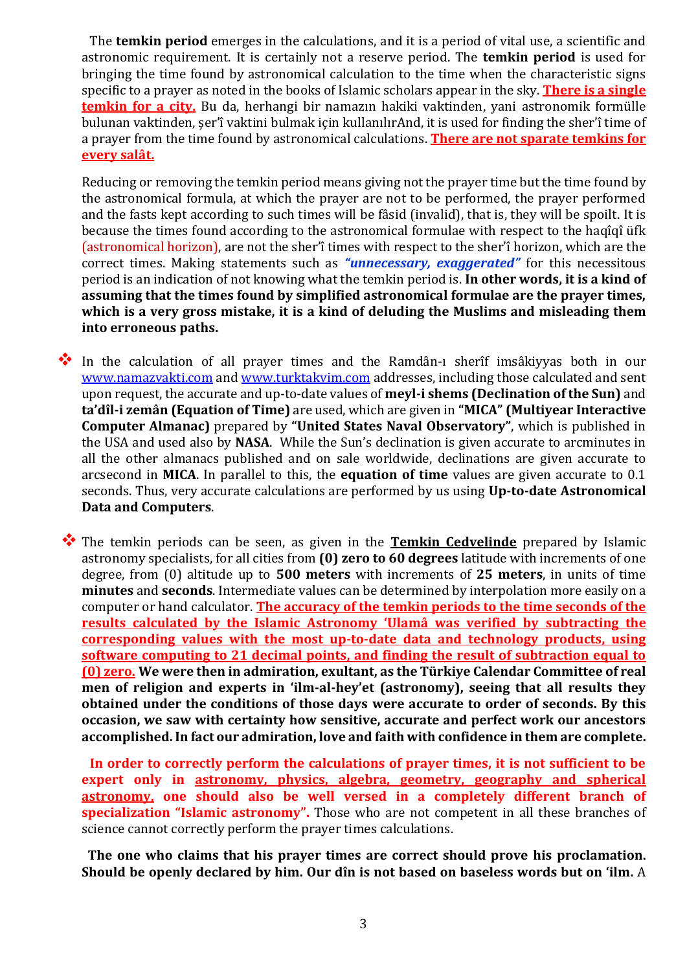The **temkin period** emerges in the calculations, and it is a period of vital use, a scientific and astronomic requirement. It is certainly not a reserve period. The **temkin period** is used for bringing the time found by astronomical calculation to the time when the characteristic signs specific to a prayer as noted in the books of Islamic scholars appear in the sky. **There is a single temkin for a city.** Bu da, herhangi bir namazın hakiki vaktinden, yani astronomik formülle bulunan vaktinden, şer'î vaktini bulmak için kullanılırAnd, it is used for finding the sher'î time of a prayer from the time found by astronomical calculations. **There are not sparate temkins for every salât.**

Reducing or removing the temkin period means giving not the prayer time but the time found by the astronomical formula, at which the prayer are not to be performed, the prayer performed and the fasts kept according to such times will be fâsid (invalid), that is, they will be spoilt. It is because the times found according to the astronomical formulae with respect to the haqîqî üfk (astronomical horizon), are not the sher'î times with respect to the sher'î horizon, which are the correct times. Making statements such as *"unnecessary, exaggerated"* for this necessitous period is an indication of not knowing what the temkin period is. **In other words, it is a kind of assuming that the times found by simplified astronomical formulae are the prayer times, which is a very gross mistake, it is a kind of deluding the Muslims and misleading them into erroneous paths.**

 In the calculation of all prayer times and the Ramdân-ı sherîf imsâkiyyas both in our [www.namazvakti.com](http://www.namazvakti.com/) and [www.turktakvim.com](http://www.turktakvim.com/) addresses, including those calculated and sent upon request, the accurate and up-to-date values of **meyl-i shems (Declination of the Sun)** and **ta'dîl-i zemân (Equation of Time)** are used, which are given in **"MICA" (Multiyear Interactive Computer Almanac)** prepared by **"United States Naval Observatory"**, which is published in the USA and used also by **NASA**. While the Sun's declination is given accurate to arcminutes in all the other almanacs published and on sale worldwide, declinations are given accurate to arcsecond in **MICA**. In parallel to this, the **equation of time** values are given accurate to 0.1 seconds. Thus, very accurate calculations are performed by us using **Up-to-date Astronomical Data and Computers**.

 The temkin periods can be seen, as given in the **Temkin Cedvelinde** prepared by Islamic astronomy specialists, for all cities from **(0) zero to 60 degrees** latitude with increments of one degree, from (0) altitude up to **500 meters** with increments of **25 meters**, in units of time **minutes** and **seconds**. Intermediate values can be determined by interpolation more easily on a computer or hand calculator. **The accuracy of the temkin periods to the time seconds of the results calculated by the Islamic Astronomy 'Ulamâ was verified by subtracting the corresponding values with the most up-to-date data and technology products, using software computing to 21 decimal points, and finding the result of subtraction equal to (0) zero. We were then in admiration, exultant, as the Türkiye Calendar Committee of real men of religion and experts in 'ilm-al-hey'et (astronomy), seeing that all results they obtained under the conditions of those days were accurate to order of seconds. By this occasion, we saw with certainty how sensitive, accurate and perfect work our ancestors accomplished. In fact our admiration, love and faith with confidence in them are complete.**

**In order to correctly perform the calculations of prayer times, it is not sufficient to be expert only in astronomy, physics, algebra, geometry, geography and spherical astronomy, one should also be well versed in a completely different branch of specialization "Islamic astronomy".** Those who are not competent in all these branches of science cannot correctly perform the prayer times calculations.

 **The one who claims that his prayer times are correct should prove his proclamation. Should be openly declared by him. Our dîn is not based on baseless words but on 'ilm.** A